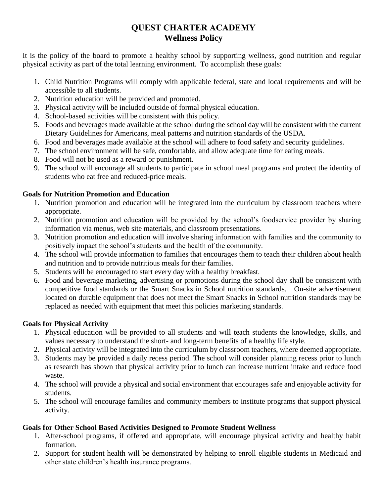# **QUEST CHARTER ACADEMY Wellness Policy**

It is the policy of the board to promote a healthy school by supporting wellness, good nutrition and regular physical activity as part of the total learning environment. To accomplish these goals:

- 1. Child Nutrition Programs will comply with applicable federal, state and local requirements and will be accessible to all students.
- 2. Nutrition education will be provided and promoted.
- 3. Physical activity will be included outside of formal physical education.
- 4. School-based activities will be consistent with this policy.
- 5. Foods and beverages made available at the school during the school day will be consistent with the current Dietary Guidelines for Americans, meal patterns and nutrition standards of the USDA.
- 6. Food and beverages made available at the school will adhere to food safety and security guidelines.
- 7. The school environment will be safe, comfortable, and allow adequate time for eating meals.
- 8. Food will not be used as a reward or punishment.
- 9. The school will encourage all students to participate in school meal programs and protect the identity of students who eat free and reduced-price meals.

### **Goals for Nutrition Promotion and Education**

- 1. Nutrition promotion and education will be integrated into the curriculum by classroom teachers where appropriate.
- 2. Nutrition promotion and education will be provided by the school's foodservice provider by sharing information via menus, web site materials, and classroom presentations.
- 3. Nutrition promotion and education will involve sharing information with families and the community to positively impact the school's students and the health of the community.
- 4. The school will provide information to families that encourages them to teach their children about health and nutrition and to provide nutritious meals for their families.
- 5. Students will be encouraged to start every day with a healthy breakfast.
- 6. Food and beverage marketing, advertising or promotions during the school day shall be consistent with competitive food standards or the Smart Snacks in School nutrition standards. On-site advertisement located on durable equipment that does not meet the Smart Snacks in School nutrition standards may be replaced as needed with equipment that meet this policies marketing standards.

## **Goals for Physical Activity**

- 1. Physical education will be provided to all students and will teach students the knowledge, skills, and values necessary to understand the short- and long-term benefits of a healthy life style.
- 2. Physical activity will be integrated into the curriculum by classroom teachers, where deemed appropriate.
- 3. Students may be provided a daily recess period. The school will consider planning recess prior to lunch as research has shown that physical activity prior to lunch can increase nutrient intake and reduce food waste.
- 4. The school will provide a physical and social environment that encourages safe and enjoyable activity for students.
- 5. The school will encourage families and community members to institute programs that support physical activity.

## **Goals for Other School Based Activities Designed to Promote Student Wellness**

- 1. After-school programs, if offered and appropriate, will encourage physical activity and healthy habit formation.
- 2. Support for student health will be demonstrated by helping to enroll eligible students in Medicaid and other state children's health insurance programs.